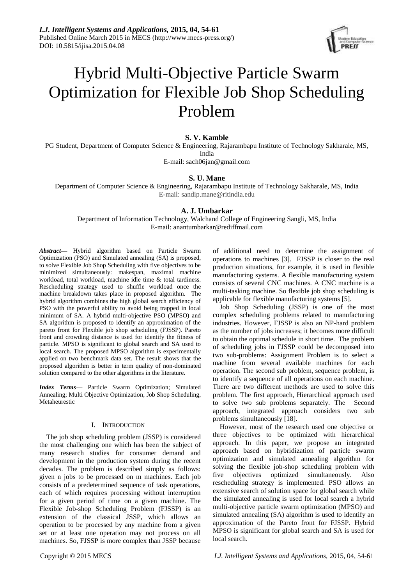*I.J. Intelligent Systems and Applications,* **2015, 04, 54-61** Published Online March 2015 in MECS (http://www.mecs-press.org/) DOI: 10.5815/ijisa.2015.04.08



# Hybrid Multi-Objective Particle Swarm Optimization for Flexible Job Shop Scheduling Problem

# **S. V. Kamble**

PG Student, Department of Computer Science & Engineering, Rajarambapu Institute of Technology Sakharale, MS, India

E-mail: sach06jan@gmail.com

# **S. U. Mane**

Department of Computer Science & Engineering, Rajarambapu Institute of Technology Sakharale, MS, India E-mail: sandip.mane@ritindia.edu

# **A. J. Umbarkar**

Department of Information Technology, Walchand College of Engineering Sangli, MS, India E-mail: anantumbarkar@rediffmail.com

*Abstract***—** Hybrid algorithm based on Particle Swarm Optimization (PSO) and Simulated annealing (SA) is proposed, to solve Flexible Job Shop Scheduling with five objectives to be minimized simultaneously: makespan, maximal machine workload, total workload, machine idle time & total tardiness. Rescheduling strategy used to shuffle workload once the machine breakdown takes place in proposed algorithm. The hybrid algorithm combines the high global search efficiency of PSO with the powerful ability to avoid being trapped in local minimum of SA. A hybrid multi-objective PSO (MPSO) and SA algorithm is proposed to identify an approximation of the pareto front for Flexible job shop scheduling (FJSSP). Pareto front and crowding distance is used for identify the fitness of particle. MPSO is significant to global search and SA used to local search. The proposed MPSO algorithm is experimentally applied on two benchmark data set. The result shows that the proposed algorithm is better in term quality of non-dominated solution compared to the other algorithms in the literature**.**

*Index Terms***—** Particle Swarm Optimization; Simulated Annealing; Multi Objective Optimization, Job Shop Scheduling, Metaheurestic

# I. INTRODUCTION

The job shop scheduling problem (JSSP) is considered the most challenging one which has been the subject of many research studies for consumer demand and development in the production system during the recent decades. The problem is described simply as follows: given n jobs to be processed on m machines. Each job consists of a predetermined sequence of task operations, each of which requires processing without interruption for a given period of time on a given machine. The Flexible Job-shop Scheduling Problem (FJSSP) is an extension of the classical JSSP, which allows an operation to be processed by any machine from a given set or at least one operation may not process on all machines. So, FJSSP is more complex than JSSP because

of additional need to determine the assignment of operations to machines [3]. FJSSP is closer to the real production situations, for example, it is used in flexible manufacturing systems. A flexible manufacturing system consists of several CNC machines. A CNC machine is a multi-tasking machine. So flexible job shop scheduling is applicable for flexible manufacturing systems [5].

Job Shop Scheduling (JSSP) is one of the most complex scheduling problems related to manufacturing industries. However, FJSSP is also an NP-hard problem as the number of jobs increases; it becomes more difficult to obtain the optimal schedule in short time. The problem of scheduling jobs in FJSSP could be decomposed into two sub-problems: Assignment Problem is to select a machine from several available machines for each operation. The second sub problem, sequence problem, is to identify a sequence of all operations on each machine. There are two different methods are used to solve this problem. The first approach, Hierarchical approach used to solve two sub problems separately. The Second approach, integrated approach considers two sub problems simultaneously [18].

However, most of the research used one objective or three objectives to be optimized with hierarchical approach. In this paper, we propose an integrated approach based on hybridization of particle swarm optimization and simulated annealing algorithm for solving the flexible job-shop scheduling problem with five objectives optimized simultaneously. Also rescheduling strategy is implemented. PSO allows an extensive search of solution space for global search while the simulated annealing is used for local search a hybrid multi-objective particle swarm optimization (MPSO) and simulated annealing (SA) algorithm is used to identify an approximation of the Pareto front for FJSSP. Hybrid MPSO is significant for global search and SA is used for local search.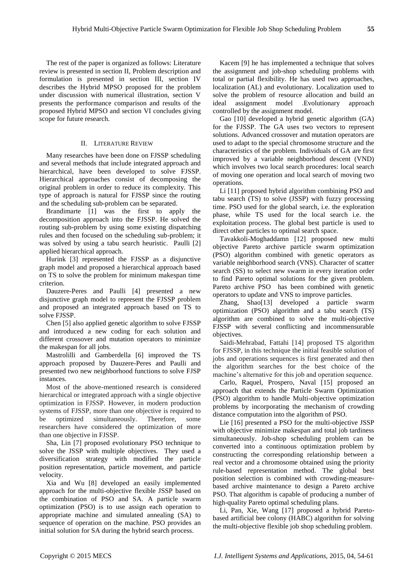The rest of the paper is organized as follows: Literature review is presented in section II, Problem description and formulation is presented in section III, section IV describes the Hybrid MPSO proposed for the problem under discussion with numerical illustration, section V presents the performance comparison and results of the proposed Hybrid MPSO and section VI concludes giving scope for future research.

# II. LITERATURE REVIEW

Many researches have been done on FJSSP scheduling and several methods that include integrated approach and hierarchical, have been developed to solve FJSSP. Hierarchical approaches consist of decomposing the original problem in order to reduce its complexity. This type of approach is natural for FJSSP since the routing and the scheduling sub-problem can be separated.

Brandimarte [1] was the first to apply the decomposition approach into the FJSSP. He solved the routing sub-problem by using some existing dispatching rules and then focused on the scheduling sub-problem; it was solved by using a tabu search heuristic. Paulli [2] applied hierarchical approach.

Hurink [3] represented the FJSSP as a disjunctive graph model and proposed a hierarchical approach based on TS to solve the problem for minimum makespan time criterion.

Dauzere-Peres and Paulli [4] presented a new disjunctive graph model to represent the FJSSP problem and proposed an integrated approach based on TS to solve FJSSP.

Chen [5] also applied genetic algorithm to solve FJSSP and introduced a new coding for each solution and different crossover and mutation operators to minimize the makespan for all jobs.

Mastrolilli and Gamberdella [6] improved the TS approach proposed by Dauzere-Peres and Paulli and presented two new neighborhood functions to solve FJSP instances.

Most of the above-mentioned research is considered hierarchical or integrated approach with a single objective optimization in FJSSP. However, in modern production systems of FJSSP, more than one objective is required to be optimized simultaneously. Therefore, some researchers have considered the optimization of more than one objective in FJSSP.

Sha, Lin [7] proposed evolutionary PSO technique to solve the JSSP with multiple objectives. They used a diversification strategy with modified the particle position representation, particle movement, and particle velocity.

Xia and Wu [8] developed an easily implemented approach for the multi-objective flexible JSSP based on the combination of PSO and SA. A particle swarm optimization (PSO) is to use assign each operation to appropriate machine and simulated annealing (SA) to sequence of operation on the machine. PSO provides an initial solution for SA during the hybrid search process.

Kacem [9] he has implemented a technique that solves the assignment and job-shop scheduling problems with total or partial flexibility. He has used two approaches, localization (AL) and evolutionary. Localization used to solve the problem of resource allocation and build an ideal assignment model .Evolutionary approach controlled by the assignment model.

Gao [10] developed a hybrid genetic algorithm (GA) for the FJSSP. The GA uses two vectors to represent solutions. Advanced crossover and mutation operators are used to adapt to the special chromosome structure and the characteristics of the problem. Individuals of GA are first improved by a variable neighborhood descent (VND) which involves two local search procedures: local search of moving one operation and local search of moving two operations.

Li [11] proposed hybrid algorithm combining PSO and tabu search (TS) to solve (JSSP) with fuzzy processing time. PSO used for the global search, i.e. the exploration phase, while TS used for the local search i.e. the exploitation process. The global best particle is used to direct other particles to optimal search space.

Tavakkoli-Moghaddamn [12] proposed new multi objective Pareto archive particle swarm optimization (PSO) algorithm combined with genetic operators as variable neighborhood search (VNS). Character of scatter search (SS) to select new swarm in every iteration order to find Pareto optimal solutions for the given problem. Pareto archive PSO has been combined with genetic operators to update and VNS to improve particles.

Zhang, Shao<sup>[13]</sup> developed a particle swarm optimization (PSO) algorithm and a tabu search (TS) algorithm are combined to solve the multi-objective FJSSP with several conflicting and incommensurable objectives.

Saidi-Mehrabad, Fattahi [14] proposed TS algorithm for FJSSP, in this technique the initial feasible solution of jobs and operations sequences is first generated and then the algorithm searches for the best choice of the machine's alternative for this job and operation sequence.

Carlo, Raquel, Prospero, Naval [15] proposed an approach that extends the Particle Swarm Optimization (PSO) algorithm to handle Multi-objective optimization problems by incorporating the mechanism of crowding distance computation into the algorithm of PSO.

Lie [16] presented a PSO for the multi-objective JSSP with objective minimize makespan and total job tardiness simultaneously. Job-shop scheduling problem can be converted into a continuous optimization problem by constructing the corresponding relationship between a real vector and a chromosome obtained using the priority rule-based representation method. The global best position selection is combined with crowding-measurebased archive maintenance to design a Pareto archive PSO. That algorithm is capable of producing a number of high-quality Pareto optimal scheduling plans.

Li, Pan, Xie, Wang [17] proposed a hybrid Paretobased artificial bee colony (HABC) algorithm for solving the multi-objective flexible job shop scheduling problem.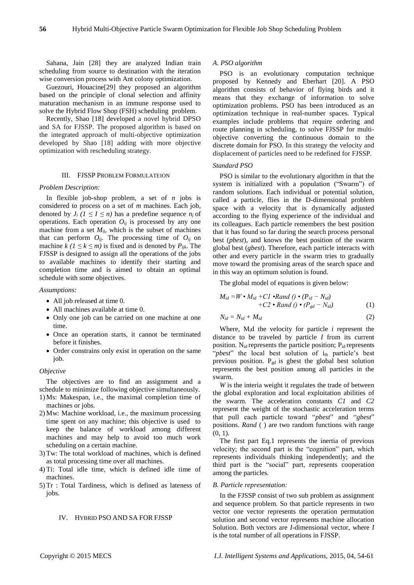Sahana, Jain [28] they are analyzed Indian train scheduling from source to destination with the iteration wise conversion process with Ant colony optimization.

Guezouri, Houacine[29] they proposed an algorithm based on the principle of clonal selection and affinity maturation mechanism in an immune response used to solve the Hybrid Flow Shop (FSH) scheduling problem.

Recently, Shao [18] developed a novel hybrid DPSO and SA for FJSSP. The proposed algorithm is based on the integrated approach of multi-objective optimization developed by Shao [18] adding with more objective optimization with rescheduling strategy.

# III. FJSSP PROBLEM FORMULATEION

# *Problem Description:*

In flexible job-shop problem, a set of *n* jobs is considered to process on a set of *m* machines. Each job, denoted by  $J_i$  ( $1 \leq I \leq n$ ) has a predefine sequence  $n_i$  of operations. Each operation  $O_{ij}$  is processed by any one machine from a set  $M_{ij}$ , which is the subset of machines that can perform  $O_{ij}$ . The processing time of  $O_{ij}$  on machine  $k$  ( $1 \le k \le m$ ) is fixed and is denoted by  $P_{ijk}$ . The FJSSP is designed to assign all the operations of the jobs to available machines to identify their starting and completion time and is aimed to obtain an optimal schedule with some objectives.

#### *Assumptions:*

- All job released at time 0.
- All machines available at time 0.
- Only one job can be carried on one machine at one time.
- Once an operation starts, it cannot be terminated before it finishes.
- Order constrains only exist in operation on the same job.

## *Objective*

The objectives are to find an assignment and a schedule to minimize following objective simultaneously.

- 1) Ms: Makespan, i.e., the maximal completion time of machines or jobs.
- 2) Mw: Machine workload, i.e., the maximum processing time spent on any machine; this objective is used to keep the balance of workload among different machines and may help to avoid too much work scheduling on a certain machine.
- 3) Tw: The total workload of machines, which is defined as total processing time over all machines.
- 4) Ti: Total idle time, which is defined idle time of machines.
- 5) Tr : Total Tardiness, which is defined as lateness of jobs.

# IV. HYBRID PSO AND SA FOR FJSSP

# *A. PSO algorithm*

PSO is an evolutionary computation technique proposed by Kennedy and Eberhart [20]. A PSO algorithm consists of behavior of flying birds and it means that they exchange of information to solve optimization problems. PSO has been introduced as an optimization technique in real-number spaces. Typical examples include problems that require ordering and route planning in scheduling, to solve FJSSP for multiobjective converting the continuous domain to the discrete domain for PSO. In this strategy the velocity and displacement of particles need to be redefined for FJSSP.

# *Standard PSO*

PSO is similar to the evolutionary algorithm in that the system is initialized with a population ("Swarm") of random solutions. Each individual or potential solution, called a particle, flies in the D-dimensional problem space with a velocity that is dynamically adjusted according to the flying experience of the individual and its colleagues. Each particle remembers the best position that it has found so far during the search process personal best (*pbest*), and knows the best position of the swarm global best (*gbest*). Therefore, each particle interacts with other and every particle in the swarm tries to gradually move toward the promising areas of the search space and in this way an optimum solution is found.

The global model of equations is given below:

$$
M_{id} = W \cdot M_{id} + C1 \cdot Rand \cdot (P_{id} - N_{id}) + C2 \cdot Rand \cdot (P_{gd} - N_{id})
$$
\n(1)

$$
N_{id} = N_{id} + M_{id} \tag{2}
$$

Where, Mid the velocity for particle *i* represent the distance to be traveled by particle *I* from its current position. N<sub>id</sub> represents the particle position; P<sub>id</sub> represents "*pbest*" the local best solution of i<sub>th</sub> particle's best previous position. Pgd is gbest the global best solution represents the best position among all particles in the swarm.

*W* is the interia weight it regulates the trade of between the global exploration and local exploitation abilities of the swarm. The acceleration constants *C1* and *C2* represent the weight of the stochastic acceleration terms that pull each particle toward "*pbest*" and "*gbest*" positions. *Rand* ( ) are two random functions with range  $(0, 1)$ .

The first part Eq.1 represents the inertia of previous velocity; the second part is the "cognition" part, which represents individuals thinking independently; and the third part is the "social" part, represents cooperation among the particles.

#### *B. Particle representation:*

In the FJSSP consist of two sub problem as assignment and sequence problem. So that particle represents in two vector one vector represents the operation permutation solution and second vector represents machine allocation Solution. Both vectors are *I*-dimensional vector, where *I* is the total number of all operations in FJSSP.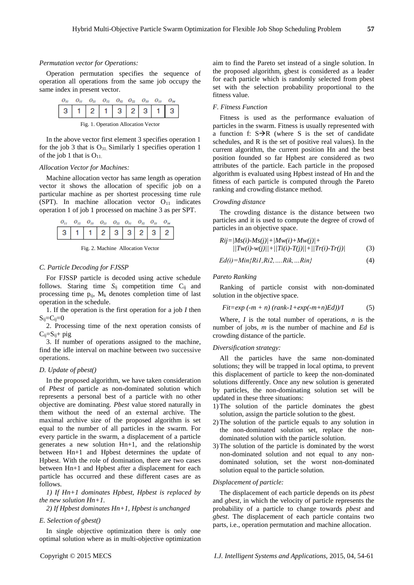# *Permutation vector for Operations:*

Operation permutation specifies the sequence of operation all operations from the same job occupy the same index in present vector.



Fig. 1. Operation Allocation Vector

In the above vector first element 3 specifies operation 1 for the job 3 that is  $O_{31}$ . Similarly 1 specifies operation 1 of the job 1 that is  $O_{11}$ .

# *Allocation Vector for Machines:*

Machine allocation vector has same length as operation vector it shows the allocation of specific job on a particular machine as per shortest processing time rule (SPT). In machine allocation vector  $O_{11}$  indicates operation 1 of job 1 processed on machine 3 as per SPT.



Fig. 2. Machine Allocation Vector

# *C. Particle Decoding for FJSSP*

For FJSSP particle is decoded using active schedule follows. Staring time  $S_{ii}$  competition time  $C_{ii}$  and processing time  $p_{ii}$ ,  $M_k$  denotes completion time of last operation in the schedule.

1. If the operation is the first operation for a job *I* then  $S_{ij}\!\!=\!\!C_{ij}\!\!=\!\!0$ 

2. Processing time of the next operation consists of  $C_{ij}=S_{ij}+$  pig

3. If number of operations assigned to the machine, find the idle interval on machine between two successive operations.

# *D. Update of pbest()*

In the proposed algorithm, we have taken consideration of *Pbest* of particle as non-dominated solution which represents a personal best of a particle with no other objective are dominating. *Pbest* value stored naturally in them without the need of an external archive. The maximal archive size of the proposed algorithm is set equal to the number of all particles in the swarm. For every particle in the swarm, a displacement of a particle generates a new solution Hn+1, and the relationship between Hn+1 and Hpbest determines the update of Hpbest. With the role of domination, there are two cases between Hn+1 and Hpbest after a displacement for each particle has occurred and these different cases are as follows.

*1) If Hn+1 dominates Hpbest, Hpbest is replaced by the new solution Hn+1.*

*2) If Hpbest dominates Hn+1, Hpbest is unchanged*

# *E. Selection of gbest()*

In single objective optimization there is only one optimal solution where as in multi-objective optimization aim to find the Pareto set instead of a single solution. In the proposed algorithm, gbest is considered as a leader for each particle which is randomly selected from pbest set with the selection probability proportional to the fitness value.

# *F. Fitness Function*

Fitness is used as the performance evaluation of particles in the swarm. Fitness is usually represented with a function f:  $S\rightarrow R$  (where S is the set of candidate schedules, and R is the set of positive real values). In the current algorithm, the current position Hn and the best position founded so far Hpbest are considered as two attributes of the particle. Each particle in the proposed algorithm is evaluated using Hpbest instead of Hn and the fitness of each particle is computed through the Pareto ranking and crowding distance method.

# *Crowding distance*

The crowding distance is the distance between two particles and it is used to compute the degree of crowd of particles in an objective space.

$$
Rij = |Ms(i) - Ms(j)| + |Mw(i) + Mw(j)| + |Tw(i) - W(j)| + |Tw(i) - W(j)| + |Tv(i) - Tr(j)|
$$
\n(3)

$$
Ed(i)=Min\{Ri1, Ri2, \dots, Rik, \dots Rin\}
$$
 (4)

# *Pareto Ranking*

Ranking of particle consist with non-dominated solution in the objective space.

$$
Fit = exp(-m + n) (rank - 1 + exp(-m + n)Ed) / I
$$
 (5)

Where, *I* is the total number of operations, *n* is the number of jobs, *m* is the number of machine and *Ed* is crowding distance of the particle.

# *Diversification strategy:*

All the particles have the same non-dominated solutions; they will be trapped in local optima, to prevent this displacement of particle to keep the non-dominated solutions differently. Once any new solution is generated by particles, the non-dominating solution set will be updated in these three situations:

- 1) The solution of the particle dominates the gbest solution, assign the particle solution to the gbest.
- 2) The solution of the particle equals to any solution in the non-dominated solution set, replace the nondominated solution with the particle solution.
- 3) The solution of the particle is dominated by the worst non-dominated solution and not equal to any nondominated solution, set the worst non-dominated solution equal to the particle solution.

# *Displacement of particle:*

The displacement of each particle depends on its *pbest* and *gbest,* in which the velocity of particle represents the probability of a particle to change towards *pbest* and *gbest*. The displacement of each particle contains two parts, i.e., operation permutation and machine allocation.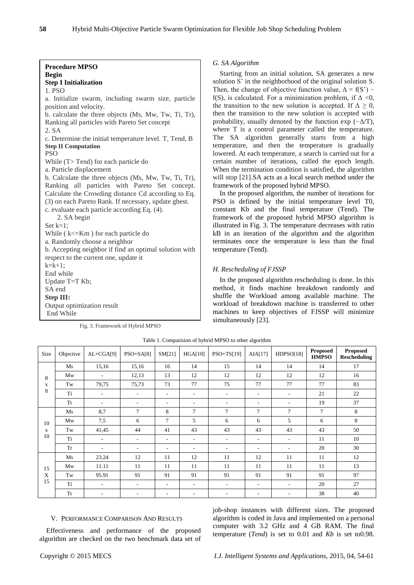*G. SA Algorithm*

# **Procedure MPSO Begin Step I Initialization** 1. PSO a. Initialize swarm, including swarm size, particle position and velocity. b. calculate the three objects (Ms, Mw, Tw, Ti, Tr), Ranking all particles with Pareto Set concept 2. SA c. Determine the initial temperature level. T, Tend, B **Step II Computation PSO** While (T> Tend) for each particle do a. Particle displacement b. Calculate the three objects (Ms, Mw, Tw, Ti, Tr), Ranking all particles with Pareto Set concept. Calculate the Crowding distance Cd according to Eq. (3) on each Pareto Rank. If necessary, update gbest. c. evaluate each particle according Eq. (4). 2. SA begin Set  $k=1$ : While ( k<=Km ) for each particle do a. Randomly choose a neighbor b. Accepting neighbor if find an optimal solution with respect to the current one, update it  $k=k+1$ : End while Update T=T Kb; SA end **Step III:** Output optimization result End While

Fig. 3. Framework of Hybrid MPSO

# illustrated in Fig. 3. The temperature decreases with ratio kB in an iteration of the algorithm and the algorithm terminates once the temperature is less than the final temperature (Tend). *H. Rescheduling of FJSSP*

In the proposed algorithm rescheduling is done. In this method, it finds machine breakdown randomly and shuffle the Workload among available machine. The workload of breakdown machine is transferred to other machines to keep objectives of FJSSP will minimize simultaneously [23].

In the proposed algorithm, the number of iterations for PSO is defined by the initial temperature level T0, constant Kb and the final temperature (Tend). The framework of the proposed hybrid MPSO algorithm is

framework of the proposed hybrid MPSO.

Starting from an initial solution, SA generates a new solution S' in the neighborhood of the original solution S. Then, the change of objective function value,  $\Delta = f(S')$  – f(S), is calculated. For a minimization problem, if  $\Delta \leq 0$ , the transition to the new solution is accepted. If  $\Delta \geq 0$ , then the transition to the new solution is accepted with probability, usually denoted by the function exp  $(-\Delta/T)$ , where T is a control parameter called the temperature. The SA algorithm generally starts from a high temperature, and then the temperature is gradually lowered. At each temperature, a search is carried out for a certain number of iterations, called the epoch length. When the termination condition is satisfied, the algorithm will stop [21].SA acts as a local search method under the

| Size          | Objective | $AL+CGA[9]$              | $PSO+SA[8]$              | SM[21]                   | HGA[10]                  | $PSO+TS[19]$             | AIA[17]                  | HDPSO[18] | <b>Proposed</b><br><b>HMPSO</b> | <b>Proposed</b><br><b>Rescheduling</b> |
|---------------|-----------|--------------------------|--------------------------|--------------------------|--------------------------|--------------------------|--------------------------|-----------|---------------------------------|----------------------------------------|
| 8<br>X<br>8   | Ms        | 15,16                    | 15,16                    | 16                       | 14                       | 15                       | 14                       | 14        | 14                              | 17                                     |
|               | Mw        | Ξ.                       | 12,13                    | 13                       | 12                       | 12                       | 12                       | 12        | 12                              | 16                                     |
|               | Tw        | 79,75                    | 75,73                    | 73                       | 77                       | 75                       | 77                       | 77        | 77                              | 83                                     |
|               | Ti        | Ξ.                       | $\overline{\phantom{a}}$ | $\overline{\phantom{a}}$ | $\overline{\phantom{a}}$ | $\overline{\phantom{a}}$ | $\overline{\phantom{a}}$ | ٠         | 21                              | 22                                     |
|               | <b>Tr</b> | $\overline{\phantom{0}}$ | $\overline{\phantom{a}}$ | $\overline{\phantom{a}}$ | $\overline{\phantom{a}}$ | ٠                        | ٠                        | ٠         | 19                              | 37                                     |
| 10<br>X<br>10 | Ms        | 8,7                      | 7                        | 8                        | 7                        | $\tau$                   | 7                        | $\tau$    | $\tau$                          | 8                                      |
|               | Mw        | 7,5                      | 6                        | $\overline{7}$           | 5                        | 6                        | 6                        | 5         | 6                               | 8                                      |
|               | Tw        | 41,45                    | 44                       | 41                       | 43                       | 43                       | 43                       | 43        | 43                              | 50                                     |
|               | Ti        | ٠                        | $\overline{\phantom{a}}$ | $\overline{\phantom{a}}$ | $\overline{\phantom{a}}$ | $\sim$                   | $\overline{\phantom{a}}$ | ٠         | 11                              | 10                                     |
|               | <b>Tr</b> | ۰                        | $\overline{\phantom{a}}$ | $\overline{\phantom{a}}$ | ٠                        | ۰                        | $\overline{\phantom{a}}$ | ٠         | 20                              | 30                                     |
| 15<br>X<br>15 | Ms        | 23.24                    | 12                       | 11                       | 12                       | 11                       | 12                       | 11        | 11                              | 12                                     |
|               | Mw        | 11.11                    | 11                       | 11                       | 11                       | 11                       | 11                       | 11        | 11                              | 13                                     |
|               | Tw        | 95.91                    | 91                       | 91                       | 91                       | 91                       | 91                       | 91        | 91                              | 97                                     |
|               | Ti        | $\overline{\phantom{a}}$ | $\overline{\phantom{a}}$ | $\overline{\phantom{a}}$ | $\overline{\phantom{a}}$ | $\overline{\phantom{a}}$ | $\overline{\phantom{a}}$ | ٠         | 20                              | 27                                     |
|               | <b>Tr</b> | Ξ.                       | $\overline{\phantom{a}}$ | $\overline{\phantom{a}}$ | $\overline{\phantom{a}}$ | ٠                        | $\overline{\phantom{a}}$ | ٠         | 38                              | 40                                     |

Table 1. Comparision of hybrid MPSO to other algorithm

# V. PERFORMANCE COMPARISON AND RESULTS

Effectiveness and performance of the proposed algorithm are checked on the two benchmark data set of job-shop instances with different sizes. The proposed algorithm is coded in Java and implemented on a personal computer with 3.2 GHz and 4 GB RAM. The final temperature (*Tend*) is set to 0.01 and *Kb* is set to0.98.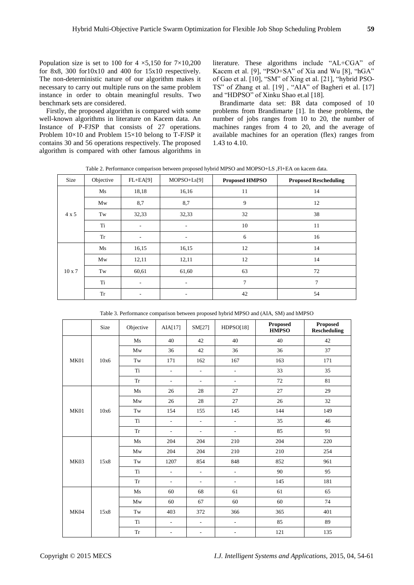Population size is set to 100 for 4  $\times$ 5,150 for 7 $\times$ 10,200 for 8x8, 300 for10x10 and 400 for 15x10 respectively. The non-deterministic nature of our algorithm makes it necessary to carry out multiple runs on the same problem instance in order to obtain meaningful results. Two benchmark sets are considered.

Firstly, the proposed algorithm is compared with some well-known algorithms in literature on Kacem data. An Instance of P-FJSP that consists of 27 operations. Problem 10×10 and Problem 15×10 belong to T-FJSP it contains 30 and 56 operations respectively. The proposed algorithm is compared with other famous algorithms in

literature. These algorithms include "AL+CGA" of Kacem et al. [9], "PSO+SA" of Xia and Wu [8], "hGA" of Gao et al. [10], "SM" of Xing et al. [21], "hybrid PSO-TS" of Zhang et al. [19] , "AIA" of Bagheri et al. [17] and "HDPSO" of Xinku Shao et.al [18].

Brandimarte data set: BR data composed of 10 problems from Brandimarte [1]. In these problems, the number of jobs ranges from 10 to 20, the number of machines ranges from 4 to 20, and the average of available machines for an operation (flex) ranges from 1.43 to 4.10.

Table 2. Performance comparison between proposed hybrid MPSO and MOPSO+LS ,Fl+EA on kacem data.

| Size          | Objective | $FL+EA[9]$ | $MOPSO+Ls[9]$            | <b>Proposed HMPSO</b> | <b>Proposed Rescheduling</b> |
|---------------|-----------|------------|--------------------------|-----------------------|------------------------------|
|               | Ms        | 18,18      | 16,16                    | 11                    | 14                           |
|               | Mw        | 8,7        | 8,7                      | 9                     | 12                           |
| $4 \times 5$  | Tw        | 32,33      | 32,33                    | 32                    | 38                           |
|               | Ti        | $\sim$     | $\overline{\phantom{a}}$ | 10                    | 11                           |
|               | <b>Tr</b> | ٠          | ۰                        | 6                     | 16                           |
|               | Ms        | 16,15      | 16,15                    | 12                    | 14                           |
|               | Mw        | 12,11      | 12,11                    | 12                    | 14                           |
| $10 \times 7$ | Tw        | 60,61      | 61,60                    | 63                    | 72                           |
|               | Ti        | ٠.         | $\overline{\phantom{a}}$ | $\overline{7}$        | $\overline{7}$               |
|               | <b>Tr</b> | ٠          | ۰                        | 42                    | 54                           |

Table 3. Performance comparison between proposed hybrid MPSO and (AIA, SM) and hMPSO

|      | Size | Objective  | AIA[17]                  | SM[27]                   | HDPSO[18]                | Proposed<br><b>HMPSO</b> | <b>Proposed</b><br><b>Rescheduling</b> |
|------|------|------------|--------------------------|--------------------------|--------------------------|--------------------------|----------------------------------------|
| MK01 | 10x6 | Ms         | 40                       | 42                       | 40                       | 40                       | 42                                     |
|      |      | Mw         | 36                       | 42                       | 36                       | 36                       | 37                                     |
|      |      | Tw         | 171                      | 162                      | 167                      | 163                      | 171                                    |
|      |      | Ti         | $\overline{a}$           | ÷,                       | $\overline{\phantom{a}}$ | 33                       | 35                                     |
|      |      | <b>Tr</b>  | $\overline{\phantom{a}}$ | $\overline{\phantom{a}}$ | $\overline{\phantom{a}}$ | 72                       | 81                                     |
|      | 10x6 | Ms         | 26                       | 28                       | 27                       | 27                       | 29                                     |
|      |      | Mw         | 26                       | 28                       | 27                       | 26                       | 32                                     |
| MK01 |      | Tw         | 154                      | 155                      | 145                      | 144                      | 149                                    |
|      |      | Ti         | $\overline{\phantom{a}}$ | $\overline{a}$           | $\overline{\phantom{a}}$ | 35                       | 46                                     |
|      |      | Tr         | $\overline{\phantom{a}}$ | $\overline{\phantom{a}}$ | $\blacksquare$           | 85                       | 91                                     |
|      | 15x8 | Ms         | 204                      | 204                      | 210                      | 204                      | 220                                    |
|      |      | Mw         | 204                      | 204                      | 210                      | 210                      | 254                                    |
| MK03 |      | Tw         | 1207                     | 854                      | 848                      | 852                      | 961                                    |
|      |      | Ti         | $\blacksquare$           | $\overline{\phantom{a}}$ | $\overline{\phantom{a}}$ | 90                       | 95                                     |
|      |      | <b>Tr</b>  | $\overline{\phantom{a}}$ | $\overline{\phantom{a}}$ | $\overline{\phantom{a}}$ | 145                      | 181                                    |
| MK04 | 15x8 | Ms         | 60                       | 68                       | 61                       | 61                       | 65                                     |
|      |      | Mw         | 60                       | 67                       | 60                       | 60                       | 74                                     |
|      |      | Tw         | 403                      | 372                      | 366                      | 365                      | 401                                    |
|      |      | Ti         | $\overline{\phantom{a}}$ | $\overline{a}$           | $\overline{\phantom{a}}$ | 85                       | 89                                     |
|      |      | ${\rm Tr}$ | $\overline{\phantom{a}}$ | $\overline{\phantom{a}}$ | $\overline{\phantom{a}}$ | 121                      | 135                                    |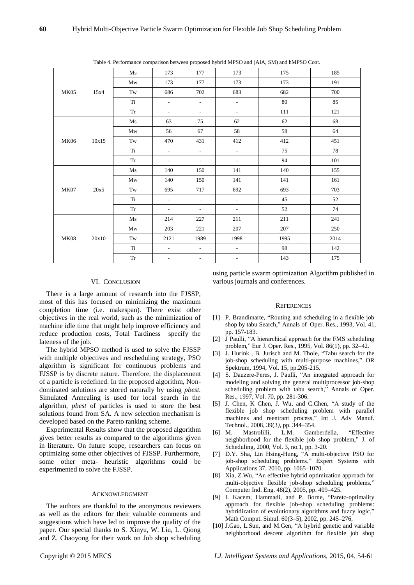| <b>MK05</b> | 15x4  | Ms         | 173                         | 177                      | 173                         | 175  | 185  |     |
|-------------|-------|------------|-----------------------------|--------------------------|-----------------------------|------|------|-----|
|             |       | Mw         | 173                         | 177                      | 173                         | 173  | 191  |     |
|             |       | Tw         | 686                         | 702                      | 683                         | 682  | 700  |     |
|             |       | Ti         | $\mathcal{L}_{\mathcal{A}}$ | $\overline{\phantom{a}}$ | $\overline{\phantom{a}}$    | 80   | 85   |     |
|             |       | Tr         | $\blacksquare$              | $\overline{\phantom{a}}$ | $\overline{\phantom{a}}$    | 111  | 121  |     |
|             | 10x15 | Ms         | 63                          | 75                       | 62                          | 62   | 68   |     |
|             |       | Mw         | 56                          | 67                       | 58                          | 58   | 64   |     |
| <b>MK06</b> |       | Tw         | 470                         | 431                      | 412                         | 412  | 451  |     |
|             |       | Ti         | $\omega$                    | $\overline{\phantom{a}}$ | $\mathbb{L}$                | 75   | 78   |     |
|             |       | Tr         | $\overline{\phantom{a}}$    | $\overline{\phantom{a}}$ | $\overline{\phantom{a}}$    | 94   | 101  |     |
| <b>MK07</b> | 20x5  | Ms         | 140                         | 150                      | 141                         | 140  | 155  |     |
|             |       | Mw         | 140                         | 150                      | 141                         | 141  | 161  |     |
|             |       | Tw         | 695                         | 717                      | 692                         | 693  | 703  |     |
|             |       | Ti         | $\omega$                    | $\overline{\phantom{a}}$ | $\mathcal{L}^{\mathcal{A}}$ | 45   | 52   |     |
|             |       | Tr         | $\sim$                      | $\sim$                   | $\overline{\phantom{a}}$    | 52   | 74   |     |
| <b>MK08</b> | 20x10 |            | Ms                          | 214                      | 227                         | 211  | 211  | 241 |
|             |       | Mw         | 203                         | 221                      | 207                         | 207  | 250  |     |
|             |       | Tw         | 2121                        | 1989                     | 1998                        | 1995 | 2014 |     |
|             |       | Ti         | $\overline{\phantom{a}}$    | $\overline{\phantom{a}}$ | $\mathcal{L}$               | 98   | 142  |     |
|             |       | ${\rm Tr}$ | $\overline{\phantom{a}}$    | $\overline{\phantom{a}}$ |                             | 143  | 175  |     |
|             |       |            |                             |                          |                             |      |      |     |

Table 4. Performance comparison between proposed hybrid MPSO and (AIA, SM) and hMPSO Cont.

# VI. CONCLUSION

There is a large amount of research into the FJSSP, most of this has focused on minimizing the maximum completion time (i.e. makespan). There exist other objectives in the real world, such as the minimization of machine idle time that might help improve efficiency and reduce production costs, Total Tardiness specify the lateness of the job.

The hybrid MPSO method is used to solve the FJSSP with multiple objectives and rescheduling strategy, PSO algorithm is significant for continuous problems and FJSSP is by discrete nature. Therefore, the displacement of a particle is redefined. In the proposed algorithm, Nondominated solutions are stored naturally by using *pbest.*  Simulated Annealing is used for local search in the algorithm, *pbest* of particles is used to store the best solutions found from SA. A new selection mechanism is developed based on the Pareto ranking scheme.

Experimental Results show that the proposed algorithm gives better results as compared to the algorithms given in literature. On future scope, researchers can focus on optimizing some other objectives of FJSSP. Furthermore, some other meta- heuristic algorithms could be experimented to solve the FJSSP.

# ACKNOWLEDGMENT

The authors are thankful to the anonymous reviewers as well as the editors for their valuable comments and suggestions which have led to improve the quality of the paper. Our special thanks to S. Xinyu, W. Liu, L. Qiong and Z. Chaoyong for their work on Job shop scheduling using particle swarm optimization Algorithm published in various journals and conferences.

#### **REFERENCES**

- [1] P. Brandimarte, "Routing and scheduling in a flexible job shop by tabu Search," Annals of Oper. Res., 1993, Vol. 41, pp. 157-183.
- [2] J Paulli, "A hierarchical approach for the FMS scheduling problem," Eur J. Oper. Res., 1995, Vol. 86(1), pp. 32–42.
- [3] J. Hurink , B. Jurisch and M. Thole, "Tabu search for the job-shop scheduling with multi-purpose machines," OR Spektrum, 1994, Vol. 15, pp.205-215.
- [4] S. Dauzere-Peres, J. Paulli, "An integrated approach for modeling and solving the general multiprocessor job-shop scheduling problem with tabu search," Annals of Oper. Res., 1997, Vol. 70, pp. 281-306.
- [5] J. Chen, K Chen, J. Wu, and C.Chen, "A study of the flexible job shop scheduling problem with parallel machines and reentrant process," Int J. Adv Manuf. Technol., 2008, 39(3*)*, pp. 344–354.
- [6] M. Mastrolilli, L.M. Gamberdella, "Effective neighborhood for the flexible job shop problem," J. of Scheduling, 2000, Vol. 3, no.1, pp. 3-20.
- [7] D.Y. Sha, Lin Hsing-Hung, "A multi-objective PSO for job-shop scheduling problems," Expert Systems with Applications 37, 2010*,* pp. 1065–1070.
- [8] Xia, Z.Wu, "An effective hybrid optimization approach for multi-objective flexible job-shop scheduling problems,' Computer Ind. Eng. 48(2), 2005, pp. 409–425.
- [9] I. Kacem, Hammadi, and P. Borne, "Pareto-optimality approach for flexible job-shop scheduling problems: hybridization of evolutionary algorithms and fuzzy logic," Math Comput. Simul. 60(3–5)*,* 2002, pp. 245–276,
- [10] J.Gao, L.Sun, and M.Gen, "A hybrid genetic and variable neighborhood descent algorithm for flexible job shop